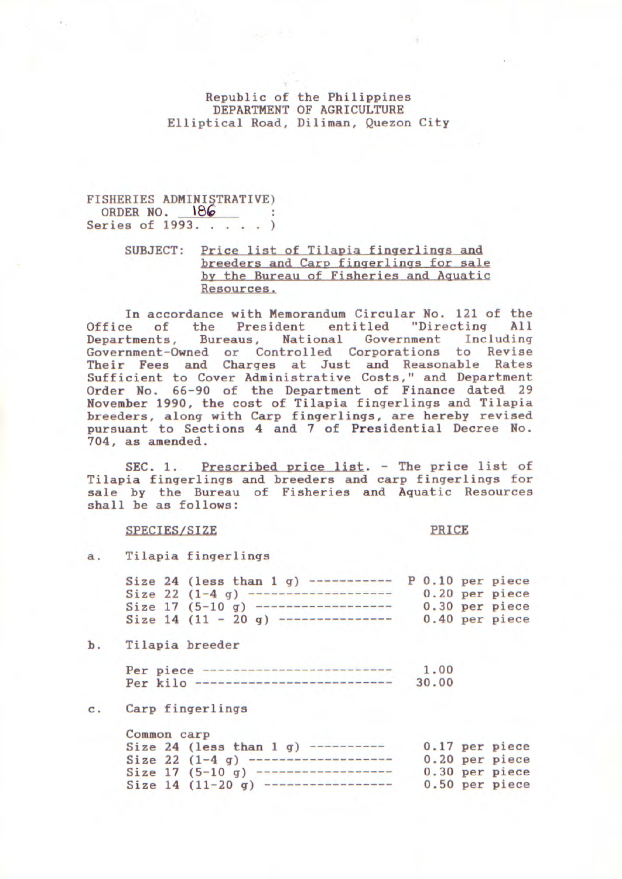### Republic of the Philippines DEPARTMENT OF AGRICULTURE Elliptical Road, Diliman, Quezon City

## FISHERIES ADMINISTRATIVE)<br>ORDER NO. 186 ORDER NO. 18 Series of 1993. . . . . )

# SUBJECT: Price list of Tilapia fingerlings and breeders and Cary fingerlings for sale by the Bureau of Fisheries and Aquatic Resources.

In accordance with Memorandum Circular No. 121 of the Office of the President entitled "Directing All<br>Departments, Bureaus, National Government Including Bureaus, National Government Including Government-Owned or Controlled Corporations to Revise Their Fees and Charges at Just and Reasonable Rates Sufficient to Cover Administrative Costs," and Department Order No. 66-90 of the Department of Finance dated 29 November 1990, the cost of Tilapia fingerlings and Tilapia breeders, along with Carp fingerlings, are hereby revised pursuant to Sections 4 and 7 of Presidential Decree No. 704, as amended.

SEC. 1. Prescribed price list. - The price list of Tilapia fingerlings and breeders and carp fingerlings for sale by the Bureau of Fisheries and Aquatic Resources shall be as follows:

#### SPECIES/SIZE

PRICE

a. Tilapia fingerlings

|  | Size 24 (less than $1$ q) |  | P 0.10 per piece |  |
|--|---------------------------|--|------------------|--|
|  | Size $22(1-4)$            |  | 0.20 per piece   |  |
|  | Size $17(5-10)$ g)        |  | 0.30 per piece   |  |
|  | Size $14(11 - 20q)$       |  | 0.40 per piece   |  |

b. Tilapia breeder

| Per piece                      | 1.00  |
|--------------------------------|-------|
| Per kilo --------------------- | 30.00 |

### **C. Carp fingerlings**

| Common carp |                            |  |                |
|-------------|----------------------------|--|----------------|
|             | Size 24 (less than $1 q$ ) |  | 0.17 per piece |
|             | Size 22 $(1-4q)$ ----      |  | 0.20 per piece |
|             | Size $17(5-10)$ g)         |  | 0.30 per piece |
|             | Size $14(11-20q)$          |  | 0.50 per piece |